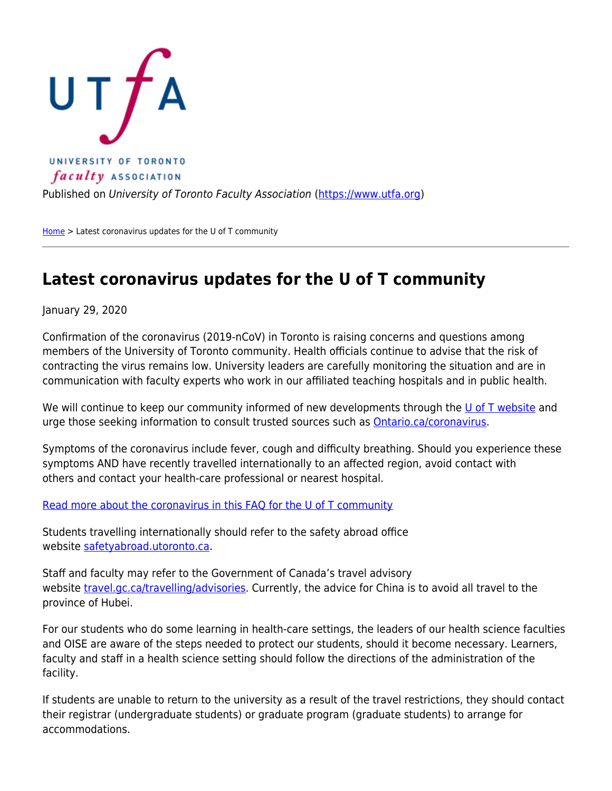

Published on University of Toronto Faculty Association ([https://www.utfa.org\)](https://www.utfa.org)

[Home](https://www.utfa.org/) > Latest coronavirus updates for the U of T community

## **Latest coronavirus updates for the U of T community**

January 29, 2020

Confirmation of the coronavirus (2019-nCoV) in Toronto is raising concerns and questions among members of the University of Toronto community. Health officials continue to advise that the risk of contracting the virus remains low. University leaders are carefully monitoring the situation and are in communication with faculty experts who work in our affiliated teaching hospitals and in public health.

We will continue to keep our community informed of new developments through the [U of T website](https://www.utoronto.ca/) and urge those seeking information to consult trusted sources such as [Ontario.ca/coronavirus.](http://Ontario.ca/coronavirus)

Symptoms of the coronavirus include fever, cough and difficulty breathing. Should you experience these symptoms AND have recently travelled internationally to an affected region, avoid contact with others and contact your health-care professional or nearest hospital.

[Read more about the coronavirus in this FAQ for the U of T community](https://www.utoronto.ca/message-from-the-university-regarding-the-coronavirus/faqs)

Students travelling internationally should refer to the safety abroad office website [safetyabroad.utoronto.ca.](http://safetyabroad.utoronto.ca)

Staff and faculty may refer to the Government of Canada's travel advisory website [travel.gc.ca/travelling/advisories.](http://travel.gc.ca/travelling/advisories) Currently, the advice for China is to avoid all travel to the province of Hubei.

For our students who do some learning in health-care settings, the leaders of our health science faculties and OISE are aware of the steps needed to protect our students, should it become necessary. Learners, faculty and staff in a health science setting should follow the directions of the administration of the facility.

If students are unable to return to the university as a result of the travel restrictions, they should contact their registrar (undergraduate students) or graduate program (graduate students) to arrange for accommodations.